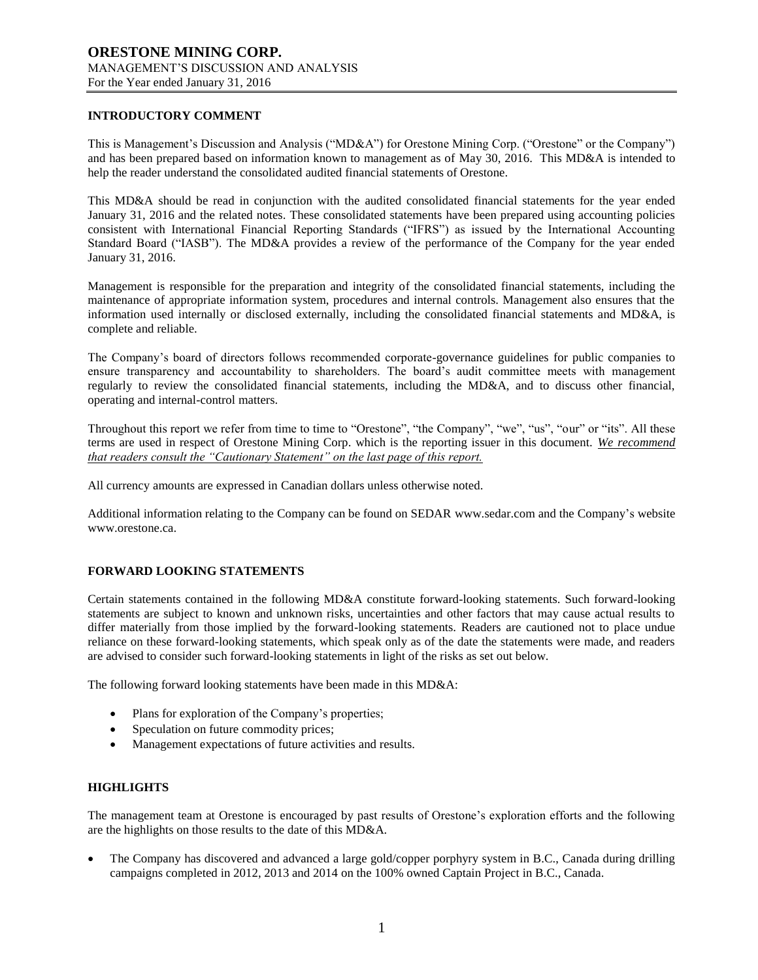# **INTRODUCTORY COMMENT**

This is Management's Discussion and Analysis ("MD&A") for Orestone Mining Corp. ("Orestone" or the Company") and has been prepared based on information known to management as of May 30, 2016. This MD&A is intended to help the reader understand the consolidated audited financial statements of Orestone.

This MD&A should be read in conjunction with the audited consolidated financial statements for the year ended January 31, 2016 and the related notes. These consolidated statements have been prepared using accounting policies consistent with International Financial Reporting Standards ("IFRS") as issued by the International Accounting Standard Board ("IASB"). The MD&A provides a review of the performance of the Company for the year ended January 31, 2016.

Management is responsible for the preparation and integrity of the consolidated financial statements, including the maintenance of appropriate information system, procedures and internal controls. Management also ensures that the information used internally or disclosed externally, including the consolidated financial statements and MD&A, is complete and reliable.

The Company's board of directors follows recommended corporate-governance guidelines for public companies to ensure transparency and accountability to shareholders. The board's audit committee meets with management regularly to review the consolidated financial statements, including the MD&A, and to discuss other financial, operating and internal-control matters.

Throughout this report we refer from time to time to "Orestone", "the Company", "we", "us", "our" or "its". All these terms are used in respect of Orestone Mining Corp. which is the reporting issuer in this document. *We recommend that readers consult the "Cautionary Statement" on the last page of this report.*

All currency amounts are expressed in Canadian dollars unless otherwise noted.

Additional information relating to the Company can be found on SEDAR www.sedar.com and the Company's website www.orestone.ca.

# **FORWARD LOOKING STATEMENTS**

Certain statements contained in the following MD&A constitute forward-looking statements. Such forward-looking statements are subject to known and unknown risks, uncertainties and other factors that may cause actual results to differ materially from those implied by the forward-looking statements. Readers are cautioned not to place undue reliance on these forward-looking statements, which speak only as of the date the statements were made, and readers are advised to consider such forward-looking statements in light of the risks as set out below.

The following forward looking statements have been made in this MD&A:

- Plans for exploration of the Company's properties;
- Speculation on future commodity prices;
- Management expectations of future activities and results.

### **HIGHLIGHTS**

The management team at Orestone is encouraged by past results of Orestone's exploration efforts and the following are the highlights on those results to the date of this MD&A.

 The Company has discovered and advanced a large gold/copper porphyry system in B.C., Canada during drilling campaigns completed in 2012, 2013 and 2014 on the 100% owned Captain Project in B.C., Canada.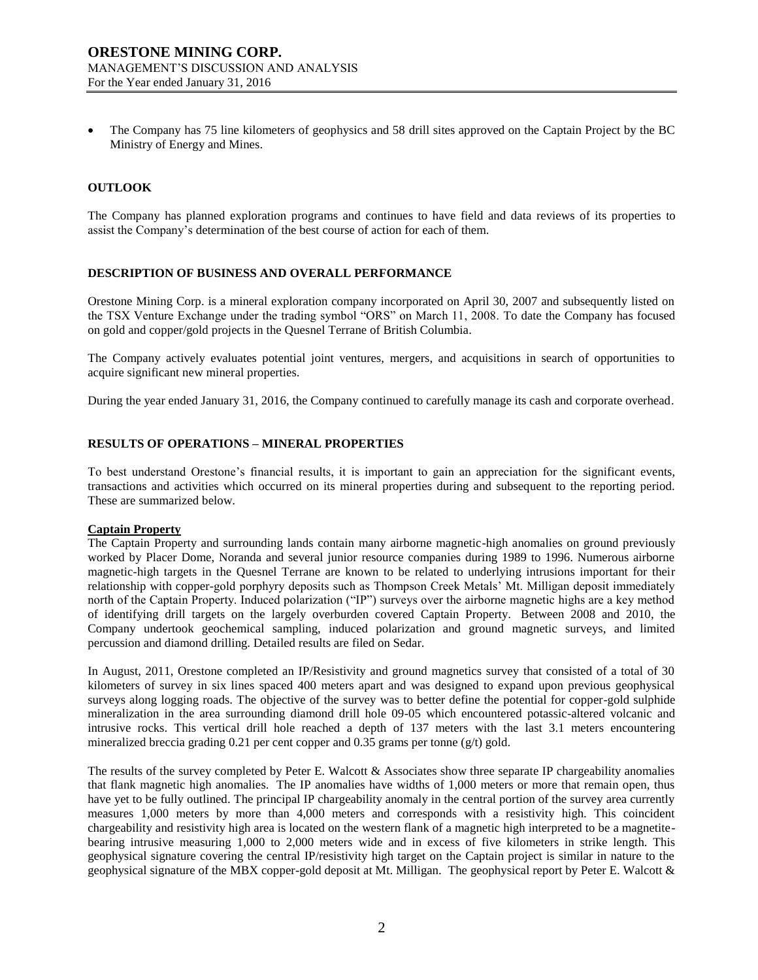The Company has 75 line kilometers of geophysics and 58 drill sites approved on the Captain Project by the BC Ministry of Energy and Mines.

### **OUTLOOK**

The Company has planned exploration programs and continues to have field and data reviews of its properties to assist the Company's determination of the best course of action for each of them.

#### **DESCRIPTION OF BUSINESS AND OVERALL PERFORMANCE**

Orestone Mining Corp. is a mineral exploration company incorporated on April 30, 2007 and subsequently listed on the TSX Venture Exchange under the trading symbol "ORS" on March 11, 2008. To date the Company has focused on gold and copper/gold projects in the Quesnel Terrane of British Columbia.

The Company actively evaluates potential joint ventures, mergers, and acquisitions in search of opportunities to acquire significant new mineral properties.

During the year ended January 31, 2016, the Company continued to carefully manage its cash and corporate overhead.

#### **RESULTS OF OPERATIONS – MINERAL PROPERTIES**

To best understand Orestone's financial results, it is important to gain an appreciation for the significant events, transactions and activities which occurred on its mineral properties during and subsequent to the reporting period. These are summarized below.

#### **Captain Property**

The Captain Property and surrounding lands contain many airborne magnetic-high anomalies on ground previously worked by Placer Dome, Noranda and several junior resource companies during 1989 to 1996. Numerous airborne magnetic-high targets in the Quesnel Terrane are known to be related to underlying intrusions important for their relationship with copper-gold porphyry deposits such as Thompson Creek Metals' Mt. Milligan deposit immediately north of the Captain Property. Induced polarization ("IP") surveys over the airborne magnetic highs are a key method of identifying drill targets on the largely overburden covered Captain Property. Between 2008 and 2010, the Company undertook geochemical sampling, induced polarization and ground magnetic surveys, and limited percussion and diamond drilling. Detailed results are filed on Sedar.

In August, 2011, Orestone completed an IP/Resistivity and ground magnetics survey that consisted of a total of 30 kilometers of survey in six lines spaced 400 meters apart and was designed to expand upon previous geophysical surveys along logging roads. The objective of the survey was to better define the potential for copper-gold sulphide mineralization in the area surrounding diamond drill hole 09-05 which encountered potassic-altered volcanic and intrusive rocks. This vertical drill hole reached a depth of 137 meters with the last 3.1 meters encountering mineralized breccia grading 0.21 per cent copper and 0.35 grams per tonne (g/t) gold.

The results of the survey completed by Peter E. Walcott & Associates show three separate IP chargeability anomalies that flank magnetic high anomalies. The IP anomalies have widths of 1,000 meters or more that remain open, thus have yet to be fully outlined. The principal IP chargeability anomaly in the central portion of the survey area currently measures 1,000 meters by more than 4,000 meters and corresponds with a resistivity high. This coincident chargeability and resistivity high area is located on the western flank of a magnetic high interpreted to be a magnetitebearing intrusive measuring 1,000 to 2,000 meters wide and in excess of five kilometers in strike length. This geophysical signature covering the central IP/resistivity high target on the Captain project is similar in nature to the geophysical signature of the MBX copper-gold deposit at Mt. Milligan. The geophysical report by Peter E. Walcott &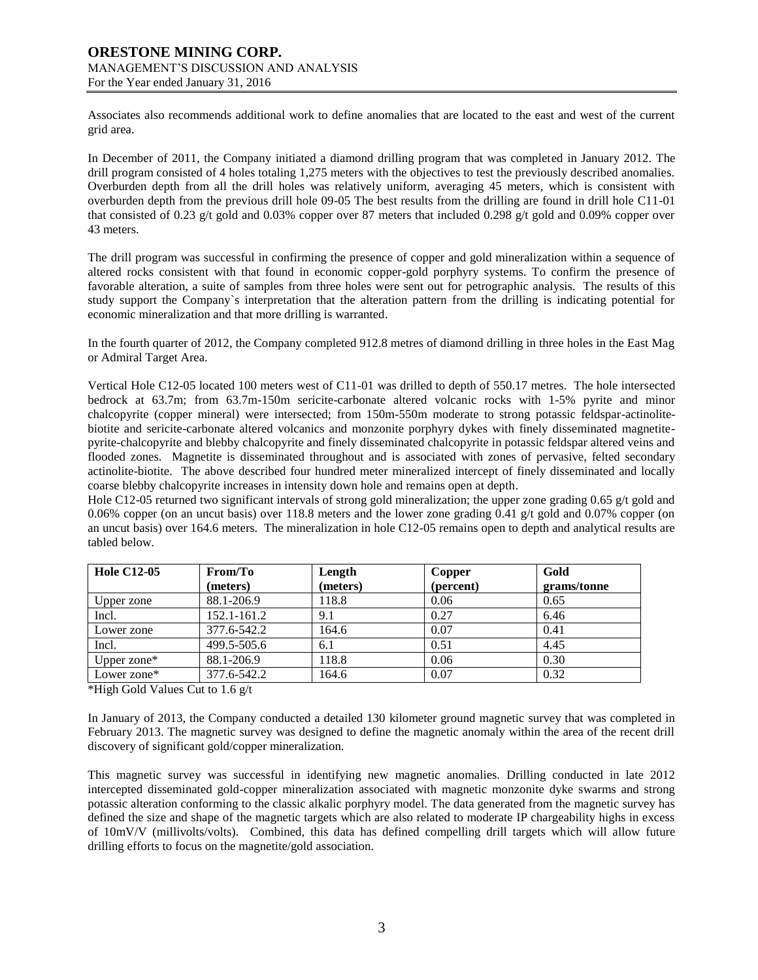Associates also recommends additional work to define anomalies that are located to the east and west of the current grid area.

In December of 2011, the Company initiated a diamond drilling program that was completed in January 2012. The drill program consisted of 4 holes totaling 1,275 meters with the objectives to test the previously described anomalies. Overburden depth from all the drill holes was relatively uniform, averaging 45 meters, which is consistent with overburden depth from the previous drill hole 09-05 The best results from the drilling are found in drill hole C11-01 that consisted of 0.23 g/t gold and 0.03% copper over 87 meters that included 0.298 g/t gold and 0.09% copper over 43 meters.

The drill program was successful in confirming the presence of copper and gold mineralization within a sequence of altered rocks consistent with that found in economic copper-gold porphyry systems. To confirm the presence of favorable alteration, a suite of samples from three holes were sent out for petrographic analysis. The results of this study support the Company`s interpretation that the alteration pattern from the drilling is indicating potential for economic mineralization and that more drilling is warranted.

In the fourth quarter of 2012, the Company completed 912.8 metres of diamond drilling in three holes in the East Mag or Admiral Target Area.

Vertical Hole C12-05 located 100 meters west of C11-01 was drilled to depth of 550.17 metres. The hole intersected bedrock at 63.7m; from 63.7m-150m sericite-carbonate altered volcanic rocks with 1-5% pyrite and minor chalcopyrite (copper mineral) were intersected; from 150m-550m moderate to strong potassic feldspar-actinolitebiotite and sericite-carbonate altered volcanics and monzonite porphyry dykes with finely disseminated magnetitepyrite-chalcopyrite and blebby chalcopyrite and finely disseminated chalcopyrite in potassic feldspar altered veins and flooded zones. Magnetite is disseminated throughout and is associated with zones of pervasive, felted secondary actinolite-biotite. The above described four hundred meter mineralized intercept of finely disseminated and locally coarse blebby chalcopyrite increases in intensity down hole and remains open at depth.

Hole C12-05 returned two significant intervals of strong gold mineralization; the upper zone grading 0.65  $g/t$  gold and 0.06% copper (on an uncut basis) over 118.8 meters and the lower zone grading 0.41 g/t gold and 0.07% copper (on an uncut basis) over 164.6 meters. The mineralization in hole C12-05 remains open to depth and analytical results are tabled below.

| <b>Hole C12-05</b> | From/To     | Length   | Copper    | Gold        |
|--------------------|-------------|----------|-----------|-------------|
|                    | (meters)    | (meters) | (percent) | grams/tonne |
| Upper zone         | 88.1-206.9  | 118.8    | 0.06      | 0.65        |
| Incl.              | 152.1-161.2 | 9.1      | 0.27      | 6.46        |
| Lower zone         | 377.6-542.2 | 164.6    | 0.07      | 0.41        |
| Incl.              | 499.5-505.6 | 6.1      | 0.51      | 4.45        |
| Upper zone $*$     | 88.1-206.9  | 118.8    | 0.06      | 0.30        |
| Lower zone*        | 377.6-542.2 | 164.6    | 0.07      | 0.32        |

\*High Gold Values Cut to 1.6 g/t

In January of 2013, the Company conducted a detailed 130 kilometer ground magnetic survey that was completed in February 2013. The magnetic survey was designed to define the magnetic anomaly within the area of the recent drill discovery of significant gold/copper mineralization.

This magnetic survey was successful in identifying new magnetic anomalies. Drilling conducted in late 2012 intercepted disseminated gold-copper mineralization associated with magnetic monzonite dyke swarms and strong potassic alteration conforming to the classic alkalic porphyry model. The data generated from the magnetic survey has defined the size and shape of the magnetic targets which are also related to moderate IP chargeability highs in excess of 10mV/V (millivolts/volts). Combined, this data has defined compelling drill targets which will allow future drilling efforts to focus on the magnetite/gold association.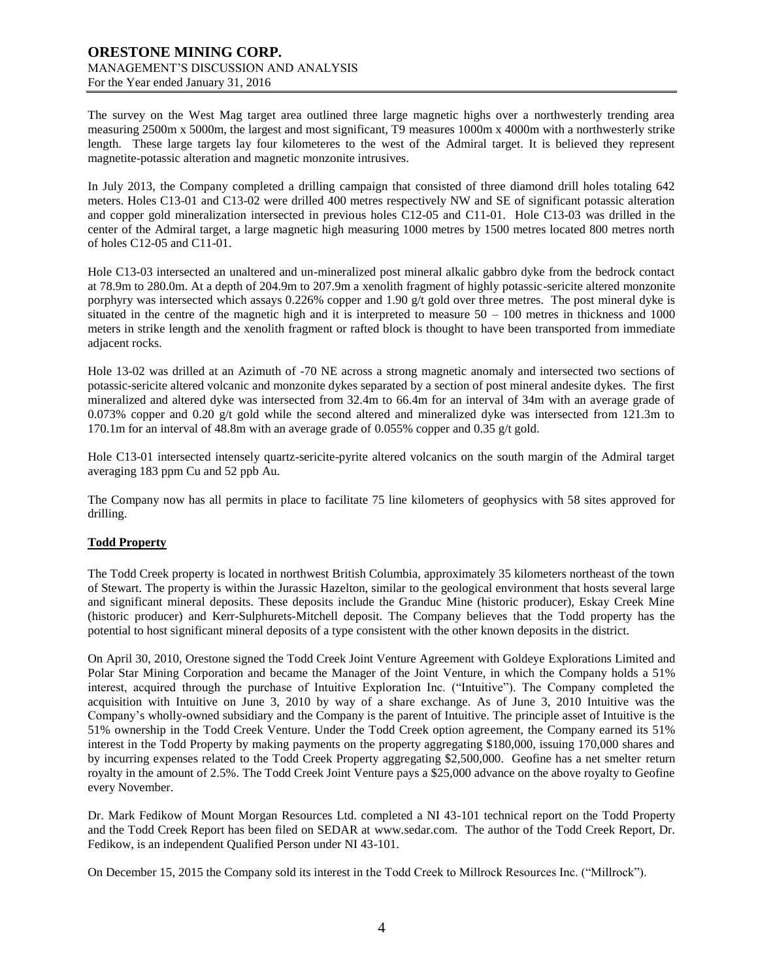The survey on the West Mag target area outlined three large magnetic highs over a northwesterly trending area measuring 2500m x 5000m, the largest and most significant, T9 measures 1000m x 4000m with a northwesterly strike length. These large targets lay four kilometeres to the west of the Admiral target. It is believed they represent magnetite-potassic alteration and magnetic monzonite intrusives.

In July 2013, the Company completed a drilling campaign that consisted of three diamond drill holes totaling 642 meters. Holes C13-01 and C13-02 were drilled 400 metres respectively NW and SE of significant potassic alteration and copper gold mineralization intersected in previous holes C12-05 and C11-01. Hole C13-03 was drilled in the center of the Admiral target, a large magnetic high measuring 1000 metres by 1500 metres located 800 metres north of holes C12-05 and C11-01.

Hole C13-03 intersected an unaltered and un-mineralized post mineral alkalic gabbro dyke from the bedrock contact at 78.9m to 280.0m. At a depth of 204.9m to 207.9m a xenolith fragment of highly potassic-sericite altered monzonite porphyry was intersected which assays 0.226% copper and 1.90 g/t gold over three metres. The post mineral dyke is situated in the centre of the magnetic high and it is interpreted to measure  $50 - 100$  metres in thickness and 1000 meters in strike length and the xenolith fragment or rafted block is thought to have been transported from immediate adjacent rocks.

Hole 13-02 was drilled at an Azimuth of -70 NE across a strong magnetic anomaly and intersected two sections of potassic-sericite altered volcanic and monzonite dykes separated by a section of post mineral andesite dykes. The first mineralized and altered dyke was intersected from 32.4m to 66.4m for an interval of 34m with an average grade of 0.073% copper and 0.20 g/t gold while the second altered and mineralized dyke was intersected from 121.3m to 170.1m for an interval of 48.8m with an average grade of 0.055% copper and 0.35 g/t gold.

Hole C13-01 intersected intensely quartz-sericite-pyrite altered volcanics on the south margin of the Admiral target averaging 183 ppm Cu and 52 ppb Au.

The Company now has all permits in place to facilitate 75 line kilometers of geophysics with 58 sites approved for drilling.

### **Todd Property**

The Todd Creek property is located in northwest British Columbia, approximately 35 kilometers northeast of the town of Stewart. The property is within the Jurassic Hazelton, similar to the geological environment that hosts several large and significant mineral deposits. These deposits include the Granduc Mine (historic producer), Eskay Creek Mine (historic producer) and Kerr-Sulphurets-Mitchell deposit. The Company believes that the Todd property has the potential to host significant mineral deposits of a type consistent with the other known deposits in the district.

On April 30, 2010, Orestone signed the Todd Creek Joint Venture Agreement with Goldeye Explorations Limited and Polar Star Mining Corporation and became the Manager of the Joint Venture, in which the Company holds a 51% interest, acquired through the purchase of Intuitive Exploration Inc. ("Intuitive"). The Company completed the acquisition with Intuitive on June 3, 2010 by way of a share exchange. As of June 3, 2010 Intuitive was the Company's wholly-owned subsidiary and the Company is the parent of Intuitive. The principle asset of Intuitive is the 51% ownership in the Todd Creek Venture. Under the Todd Creek option agreement, the Company earned its 51% interest in the Todd Property by making payments on the property aggregating \$180,000, issuing 170,000 shares and by incurring expenses related to the Todd Creek Property aggregating \$2,500,000. Geofine has a net smelter return royalty in the amount of 2.5%. The Todd Creek Joint Venture pays a \$25,000 advance on the above royalty to Geofine every November.

Dr. Mark Fedikow of Mount Morgan Resources Ltd. completed a NI 43-101 technical report on the Todd Property and the Todd Creek Report has been filed on SEDAR at [www.sedar.com.](http://www.sedar.com/) The author of the Todd Creek Report, Dr. Fedikow, is an independent Qualified Person under NI 43-101.

On December 15, 2015 the Company sold its interest in the Todd Creek to Millrock Resources Inc. ("Millrock").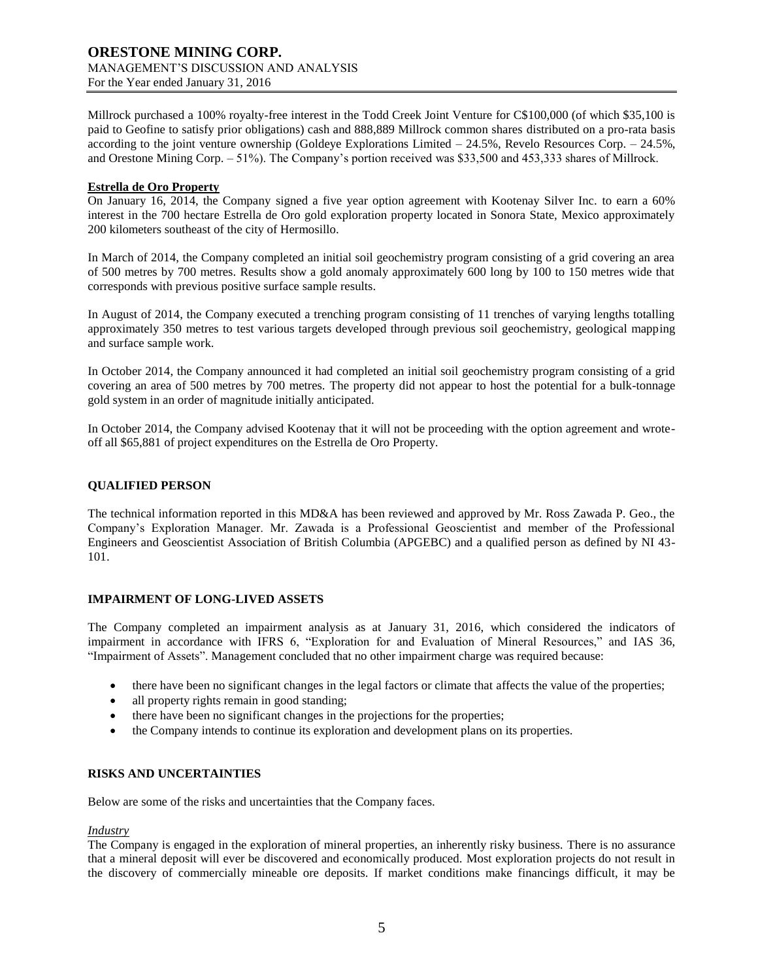Millrock purchased a 100% royalty-free interest in the Todd Creek Joint Venture for C\$100,000 (of which \$35,100 is paid to Geofine to satisfy prior obligations) cash and 888,889 Millrock common shares distributed on a pro-rata basis according to the joint venture ownership (Goldeye Explorations Limited – 24.5%, Revelo Resources Corp. – 24.5%, and Orestone Mining Corp. – 51%). The Company's portion received was \$33,500 and 453,333 shares of Millrock.

### **Estrella de Oro Property**

On January 16, 2014, the Company signed a five year option agreement with Kootenay Silver Inc. to earn a 60% interest in the 700 hectare Estrella de Oro gold exploration property located in Sonora State, Mexico approximately 200 kilometers southeast of the city of Hermosillo.

In March of 2014, the Company completed an initial soil geochemistry program consisting of a grid covering an area of 500 metres by 700 metres. Results show a gold anomaly approximately 600 long by 100 to 150 metres wide that corresponds with previous positive surface sample results.

In August of 2014, the Company executed a trenching program consisting of 11 trenches of varying lengths totalling approximately 350 metres to test various targets developed through previous soil geochemistry, geological mapping and surface sample work.

In October 2014, the Company announced it had completed an initial soil geochemistry program consisting of a grid covering an area of 500 metres by 700 metres. The property did not appear to host the potential for a bulk-tonnage gold system in an order of magnitude initially anticipated.

In October 2014, the Company advised Kootenay that it will not be proceeding with the option agreement and wroteoff all \$65,881 of project expenditures on the Estrella de Oro Property.

### **QUALIFIED PERSON**

The technical information reported in this MD&A has been reviewed and approved by Mr. Ross Zawada P. Geo., the Company's Exploration Manager. Mr. Zawada is a Professional Geoscientist and member of the Professional Engineers and Geoscientist Association of British Columbia (APGEBC) and a qualified person as defined by NI 43- 101.

### **IMPAIRMENT OF LONG-LIVED ASSETS**

The Company completed an impairment analysis as at January 31, 2016, which considered the indicators of impairment in accordance with IFRS 6, "Exploration for and Evaluation of Mineral Resources," and IAS 36, "Impairment of Assets". Management concluded that no other impairment charge was required because:

- there have been no significant changes in the legal factors or climate that affects the value of the properties;
- all property rights remain in good standing;
- there have been no significant changes in the projections for the properties;
- the Company intends to continue its exploration and development plans on its properties.

#### **RISKS AND UNCERTAINTIES**

Below are some of the risks and uncertainties that the Company faces.

#### *Industry*

The Company is engaged in the exploration of mineral properties, an inherently risky business. There is no assurance that a mineral deposit will ever be discovered and economically produced. Most exploration projects do not result in the discovery of commercially mineable ore deposits. If market conditions make financings difficult, it may be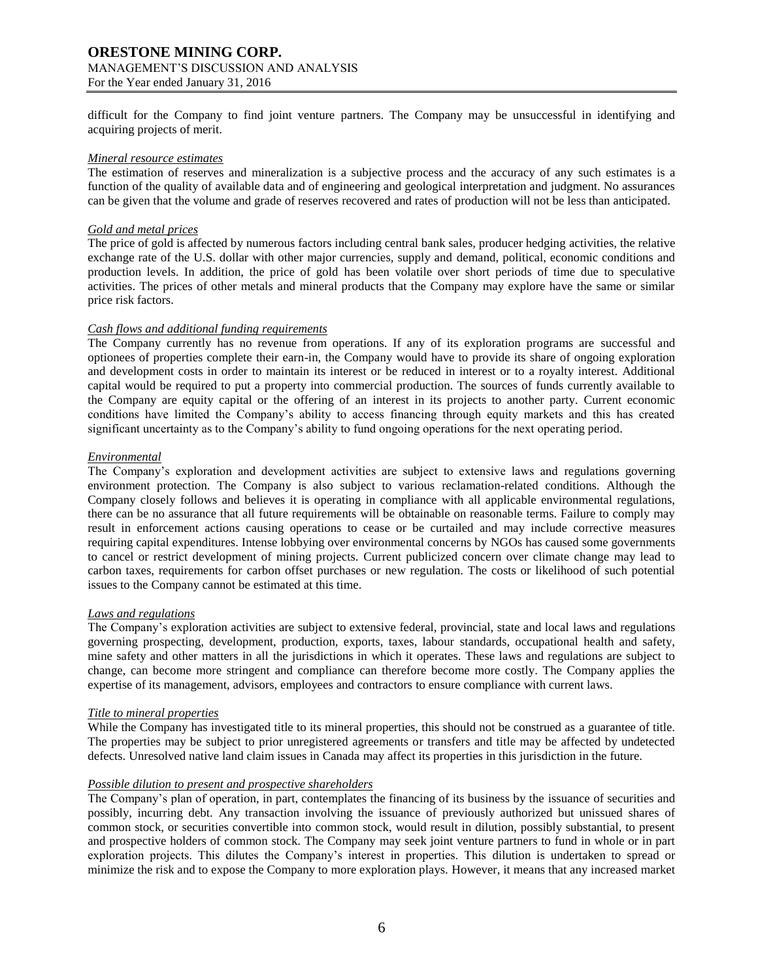# **ORESTONE MINING CORP.** MANAGEMENT'S DISCUSSION AND ANALYSIS

For the Year ended January 31, 2016

difficult for the Company to find joint venture partners. The Company may be unsuccessful in identifying and acquiring projects of merit.

#### *Mineral resource estimates*

The estimation of reserves and mineralization is a subjective process and the accuracy of any such estimates is a function of the quality of available data and of engineering and geological interpretation and judgment. No assurances can be given that the volume and grade of reserves recovered and rates of production will not be less than anticipated.

### *Gold and metal prices*

The price of gold is affected by numerous factors including central bank sales, producer hedging activities, the relative exchange rate of the U.S. dollar with other major currencies, supply and demand, political, economic conditions and production levels. In addition, the price of gold has been volatile over short periods of time due to speculative activities. The prices of other metals and mineral products that the Company may explore have the same or similar price risk factors.

### *Cash flows and additional funding requirements*

The Company currently has no revenue from operations. If any of its exploration programs are successful and optionees of properties complete their earn-in, the Company would have to provide its share of ongoing exploration and development costs in order to maintain its interest or be reduced in interest or to a royalty interest. Additional capital would be required to put a property into commercial production. The sources of funds currently available to the Company are equity capital or the offering of an interest in its projects to another party. Current economic conditions have limited the Company's ability to access financing through equity markets and this has created significant uncertainty as to the Company's ability to fund ongoing operations for the next operating period.

### *Environmental*

The Company's exploration and development activities are subject to extensive laws and regulations governing environment protection. The Company is also subject to various reclamation-related conditions. Although the Company closely follows and believes it is operating in compliance with all applicable environmental regulations, there can be no assurance that all future requirements will be obtainable on reasonable terms. Failure to comply may result in enforcement actions causing operations to cease or be curtailed and may include corrective measures requiring capital expenditures. Intense lobbying over environmental concerns by NGOs has caused some governments to cancel or restrict development of mining projects. Current publicized concern over climate change may lead to carbon taxes, requirements for carbon offset purchases or new regulation. The costs or likelihood of such potential issues to the Company cannot be estimated at this time.

### *Laws and regulations*

The Company's exploration activities are subject to extensive federal, provincial, state and local laws and regulations governing prospecting, development, production, exports, taxes, labour standards, occupational health and safety, mine safety and other matters in all the jurisdictions in which it operates. These laws and regulations are subject to change, can become more stringent and compliance can therefore become more costly. The Company applies the expertise of its management, advisors, employees and contractors to ensure compliance with current laws.

### *Title to mineral properties*

While the Company has investigated title to its mineral properties, this should not be construed as a guarantee of title. The properties may be subject to prior unregistered agreements or transfers and title may be affected by undetected defects. Unresolved native land claim issues in Canada may affect its properties in this jurisdiction in the future.

# *Possible dilution to present and prospective shareholders*

The Company's plan of operation, in part, contemplates the financing of its business by the issuance of securities and possibly, incurring debt. Any transaction involving the issuance of previously authorized but unissued shares of common stock, or securities convertible into common stock, would result in dilution, possibly substantial, to present and prospective holders of common stock. The Company may seek joint venture partners to fund in whole or in part exploration projects. This dilutes the Company's interest in properties. This dilution is undertaken to spread or minimize the risk and to expose the Company to more exploration plays. However, it means that any increased market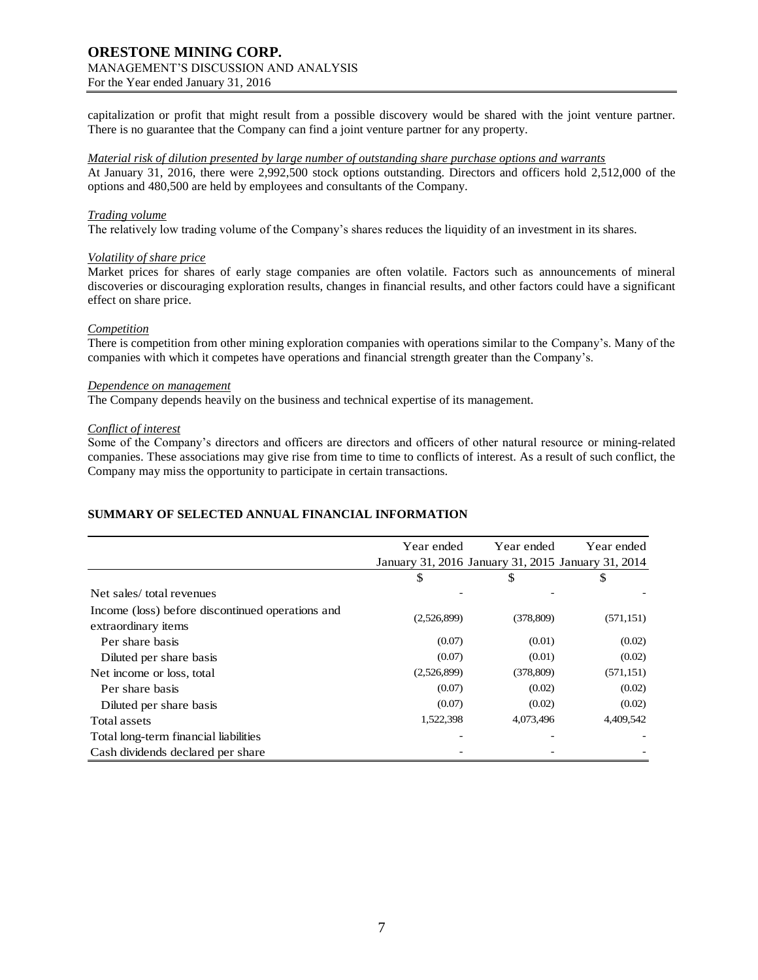capitalization or profit that might result from a possible discovery would be shared with the joint venture partner. There is no guarantee that the Company can find a joint venture partner for any property.

#### *Material risk of dilution presented by large number of outstanding share purchase options and warrants*

At January 31, 2016, there were 2,992,500 stock options outstanding. Directors and officers hold 2,512,000 of the options and 480,500 are held by employees and consultants of the Company.

#### *Trading volume*

The relatively low trading volume of the Company's shares reduces the liquidity of an investment in its shares.

#### *Volatility of share price*

Market prices for shares of early stage companies are often volatile. Factors such as announcements of mineral discoveries or discouraging exploration results, changes in financial results, and other factors could have a significant effect on share price.

#### *Competition*

There is competition from other mining exploration companies with operations similar to the Company's. Many of the companies with which it competes have operations and financial strength greater than the Company's.

#### *Dependence on management*

The Company depends heavily on the business and technical expertise of its management.

### *Conflict of interest*

Some of the Company's directors and officers are directors and officers of other natural resource or mining-related companies. These associations may give rise from time to time to conflicts of interest. As a result of such conflict, the Company may miss the opportunity to participate in certain transactions.

### **SUMMARY OF SELECTED ANNUAL FINANCIAL INFORMATION**

|                                                                         | Year ended                                         | Year ended | Year ended |  |
|-------------------------------------------------------------------------|----------------------------------------------------|------------|------------|--|
|                                                                         | January 31, 2016 January 31, 2015 January 31, 2014 |            |            |  |
|                                                                         | \$                                                 | \$         | \$         |  |
| Net sales/total revenues                                                |                                                    |            |            |  |
| Income (loss) before discontinued operations and<br>extraordinary items | (2,526,899)                                        | (378, 809) | (571, 151) |  |
| Per share basis                                                         | (0.07)                                             | (0.01)     | (0.02)     |  |
| Diluted per share basis                                                 | (0.07)                                             | (0.01)     | (0.02)     |  |
| Net income or loss, total                                               | (2,526,899)                                        | (378, 809) | (571, 151) |  |
| Per share basis                                                         | (0.07)                                             | (0.02)     | (0.02)     |  |
| Diluted per share basis                                                 | (0.07)                                             | (0.02)     | (0.02)     |  |
| Total assets                                                            | 1,522,398                                          | 4,073,496  | 4,409,542  |  |
| Total long-term financial liabilities                                   |                                                    |            |            |  |
| Cash dividends declared per share                                       |                                                    |            |            |  |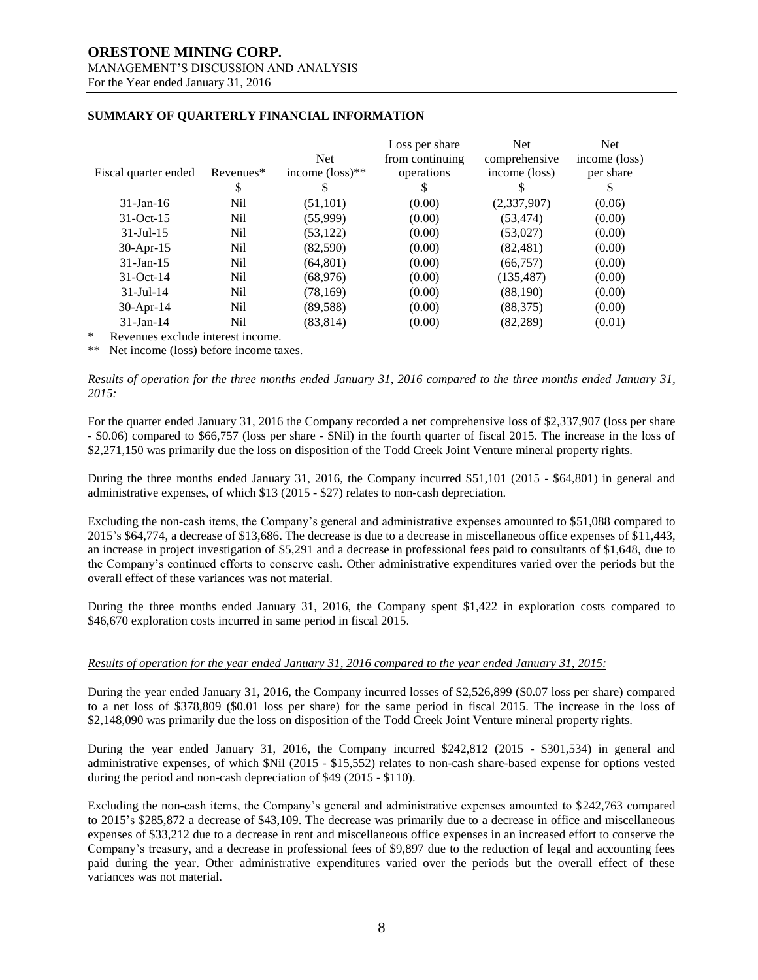## **ORESTONE MINING CORP.** MANAGEMENT'S DISCUSSION AND ANALYSIS

For the Year ended January 31, 2016

|                                                 |           | <b>Net</b>                  | Loss per share<br>from continuing | <b>Net</b><br>comprehensive | <b>Net</b><br>income (loss) |
|-------------------------------------------------|-----------|-----------------------------|-----------------------------------|-----------------------------|-----------------------------|
| Fiscal quarter ended                            | Revenues* | income $(\text{loss})^{**}$ | operations                        | income (loss)               | per share                   |
|                                                 | \$        |                             | S                                 | У                           | S                           |
| $31$ -Jan-16                                    | Nil       | (51, 101)                   | (0.00)                            | (2,337,907)                 | (0.06)                      |
| $31-Oct-15$                                     | Nil       | (55,999)                    | (0.00)                            | (53, 474)                   | (0.00)                      |
| $31 -$ Jul $-15$                                | Nil       | (53, 122)                   | (0.00)                            | (53,027)                    | (0.00)                      |
| 30-Apr-15                                       | Nil       | (82,590)                    | (0.00)                            | (82, 481)                   | (0.00)                      |
| $31$ -Jan-15                                    | Nil       | (64, 801)                   | (0.00)                            | (66, 757)                   | (0.00)                      |
| $31-Oct-14$                                     | Nil       | (68, 976)                   | (0.00)                            | (135, 487)                  | (0.00)                      |
| $31 -$ Jul $-14$                                | Nil       | (78, 169)                   | (0.00)                            | (88,190)                    | (0.00)                      |
| 30-Apr-14                                       | Nil       | (89, 588)                   | (0.00)                            | (88,375)                    | (0.00)                      |
| $31$ -Jan-14                                    | Nil       | (83, 814)                   | (0.00)                            | (82, 289)                   | (0.01)                      |
| $\star$<br>Danielski kalendar intenset in skupe |           |                             |                                   |                             |                             |

# **SUMMARY OF QUARTERLY FINANCIAL INFORMATION**

Revenues exclude interest income.

\*\* Net income (loss) before income taxes.

#### *Results of operation for the three months ended January 31, 2016 compared to the three months ended January 31, 2015:*

For the quarter ended January 31, 2016 the Company recorded a net comprehensive loss of \$2,337,907 (loss per share - \$0.06) compared to \$66,757 (loss per share - \$Nil) in the fourth quarter of fiscal 2015. The increase in the loss of \$2,271,150 was primarily due the loss on disposition of the Todd Creek Joint Venture mineral property rights.

During the three months ended January 31, 2016, the Company incurred \$51,101 (2015 - \$64,801) in general and administrative expenses, of which \$13 (2015 - \$27) relates to non-cash depreciation.

Excluding the non-cash items, the Company's general and administrative expenses amounted to \$51,088 compared to 2015's \$64,774, a decrease of \$13,686. The decrease is due to a decrease in miscellaneous office expenses of \$11,443, an increase in project investigation of \$5,291 and a decrease in professional fees paid to consultants of \$1,648, due to the Company's continued efforts to conserve cash. Other administrative expenditures varied over the periods but the overall effect of these variances was not material.

During the three months ended January 31, 2016, the Company spent \$1,422 in exploration costs compared to \$46,670 exploration costs incurred in same period in fiscal 2015.

### *Results of operation for the year ended January 31, 2016 compared to the year ended January 31, 2015:*

During the year ended January 31, 2016, the Company incurred losses of \$2,526,899 (\$0.07 loss per share) compared to a net loss of \$378,809 (\$0.01 loss per share) for the same period in fiscal 2015. The increase in the loss of \$2,148,090 was primarily due the loss on disposition of the Todd Creek Joint Venture mineral property rights.

During the year ended January 31, 2016, the Company incurred \$242,812 (2015 - \$301,534) in general and administrative expenses, of which \$Nil (2015 - \$15,552) relates to non-cash share-based expense for options vested during the period and non-cash depreciation of \$49 (2015 - \$110).

Excluding the non-cash items, the Company's general and administrative expenses amounted to \$242,763 compared to 2015's \$285,872 a decrease of \$43,109. The decrease was primarily due to a decrease in office and miscellaneous expenses of \$33,212 due to a decrease in rent and miscellaneous office expenses in an increased effort to conserve the Company's treasury, and a decrease in professional fees of \$9,897 due to the reduction of legal and accounting fees paid during the year. Other administrative expenditures varied over the periods but the overall effect of these variances was not material.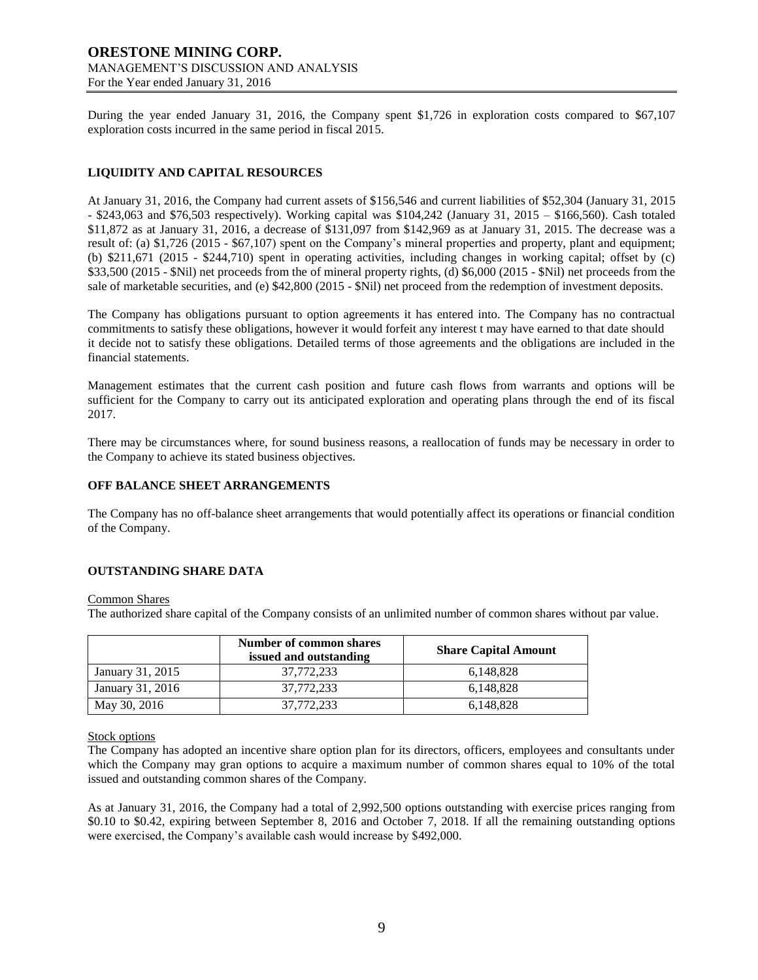During the year ended January 31, 2016, the Company spent \$1,726 in exploration costs compared to \$67,107 exploration costs incurred in the same period in fiscal 2015.

# **LIQUIDITY AND CAPITAL RESOURCES**

At January 31, 2016, the Company had current assets of \$156,546 and current liabilities of \$52,304 (January 31, 2015 - \$243,063 and \$76,503 respectively). Working capital was \$104,242 (January 31, 2015 – \$166,560). Cash totaled \$11,872 as at January 31, 2016, a decrease of \$131,097 from \$142,969 as at January 31, 2015. The decrease was a result of: (a) \$1,726 (2015 - \$67,107) spent on the Company's mineral properties and property, plant and equipment; (b) \$211,671 (2015 - \$244,710) spent in operating activities, including changes in working capital; offset by (c) \$33,500 (2015 - \$Nil) net proceeds from the of mineral property rights, (d) \$6,000 (2015 - \$Nil) net proceeds from the sale of marketable securities, and (e) \$42,800 (2015 - \$Nil) net proceed from the redemption of investment deposits.

The Company has obligations pursuant to option agreements it has entered into. The Company has no contractual commitments to satisfy these obligations, however it would forfeit any interest t may have earned to that date should it decide not to satisfy these obligations. Detailed terms of those agreements and the obligations are included in the financial statements.

Management estimates that the current cash position and future cash flows from warrants and options will be sufficient for the Company to carry out its anticipated exploration and operating plans through the end of its fiscal 2017.

There may be circumstances where, for sound business reasons, a reallocation of funds may be necessary in order to the Company to achieve its stated business objectives.

# **OFF BALANCE SHEET ARRANGEMENTS**

The Company has no off-balance sheet arrangements that would potentially affect its operations or financial condition of the Company.

### **OUTSTANDING SHARE DATA**

#### Common Shares

The authorized share capital of the Company consists of an unlimited number of common shares without par value.

|                  | Number of common shares<br>issued and outstanding | <b>Share Capital Amount</b> |
|------------------|---------------------------------------------------|-----------------------------|
| January 31, 2015 | 37,772,233                                        | 6.148.828                   |
| January 31, 2016 | 37,772,233                                        | 6.148.828                   |
| May 30, 2016     | 37,772,233                                        | 6,148,828                   |

### Stock options

The Company has adopted an incentive share option plan for its directors, officers, employees and consultants under which the Company may gran options to acquire a maximum number of common shares equal to 10% of the total issued and outstanding common shares of the Company.

As at January 31, 2016, the Company had a total of 2,992,500 options outstanding with exercise prices ranging from \$0.10 to \$0.42, expiring between September 8, 2016 and October 7, 2018. If all the remaining outstanding options were exercised, the Company's available cash would increase by \$492,000.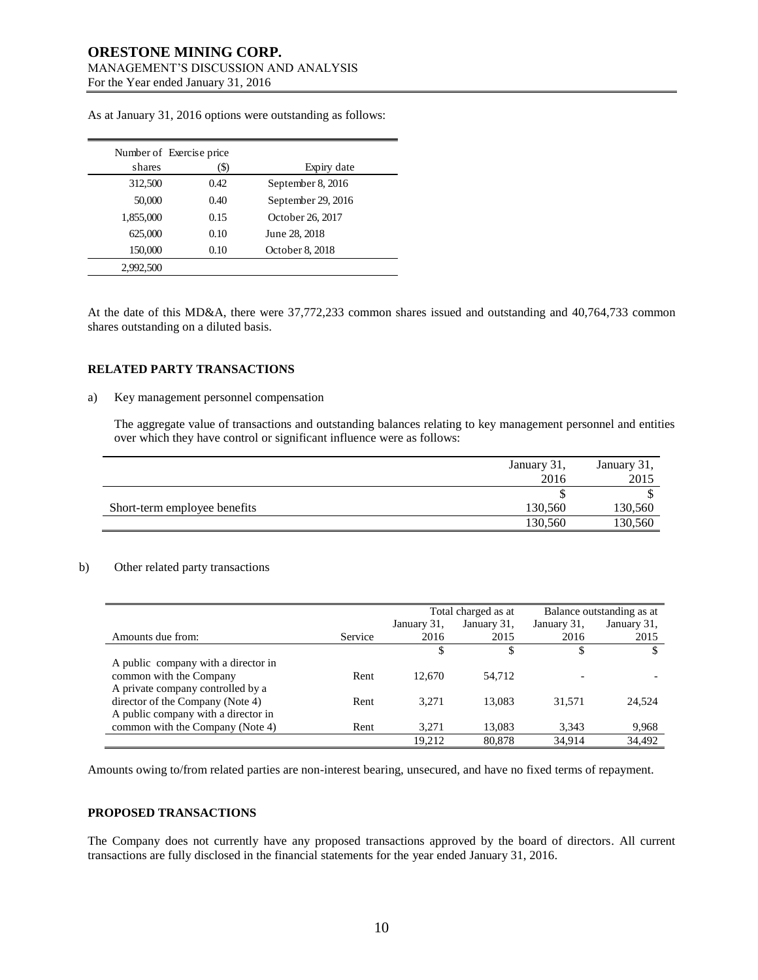|           | Number of Exercise price |                    |
|-----------|--------------------------|--------------------|
| shares    | (\$)                     | Expiry date        |
| 312,500   | 0.42                     | September 8, 2016  |
| 50,000    | 0.40                     | September 29, 2016 |
| 1,855,000 | 0.15                     | October 26, 2017   |
| 625,000   | 0.10                     | June 28, 2018      |
| 150,000   | 0.10                     | October 8, 2018    |
| 2,992,500 |                          |                    |

As at January 31, 2016 options were outstanding as follows:

At the date of this MD&A, there were 37,772,233 common shares issued and outstanding and 40,764,733 common shares outstanding on a diluted basis.

#### **RELATED PARTY TRANSACTIONS**

#### a) Key management personnel compensation

The aggregate value of transactions and outstanding balances relating to key management personnel and entities over which they have control or significant influence were as follows:

|                              | January 31,<br>2016 | January 31,<br>2015 |
|------------------------------|---------------------|---------------------|
|                              |                     |                     |
| Short-term employee benefits | 130,560             | 130,560             |
|                              | 130,560             | 130,560             |

#### b) Other related party transactions

|                                     |         | Total charged as at |             | Balance outstanding as at |             |
|-------------------------------------|---------|---------------------|-------------|---------------------------|-------------|
|                                     |         | January 31,         | January 31, | January 31,               | January 31, |
| Amounts due from:                   | Service | 2016                | 2015        | 2016                      | 2015        |
|                                     |         |                     |             | \$                        |             |
| A public company with a director in |         |                     |             |                           |             |
| common with the Company             | Rent    | 12.670              | 54.712      |                           |             |
| A private company controlled by a   |         |                     |             |                           |             |
| director of the Company (Note 4)    | Rent    | 3.271               | 13,083      | 31,571                    | 24,524      |
| A public company with a director in |         |                     |             |                           |             |
| common with the Company (Note 4)    | Rent    | 3,271               | 13,083      | 3,343                     | 9,968       |
|                                     |         | 19,212              | 80,878      | 34,914                    | 34,492      |

Amounts owing to/from related parties are non-interest bearing, unsecured, and have no fixed terms of repayment.

# **PROPOSED TRANSACTIONS**

The Company does not currently have any proposed transactions approved by the board of directors. All current transactions are fully disclosed in the financial statements for the year ended January 31, 2016.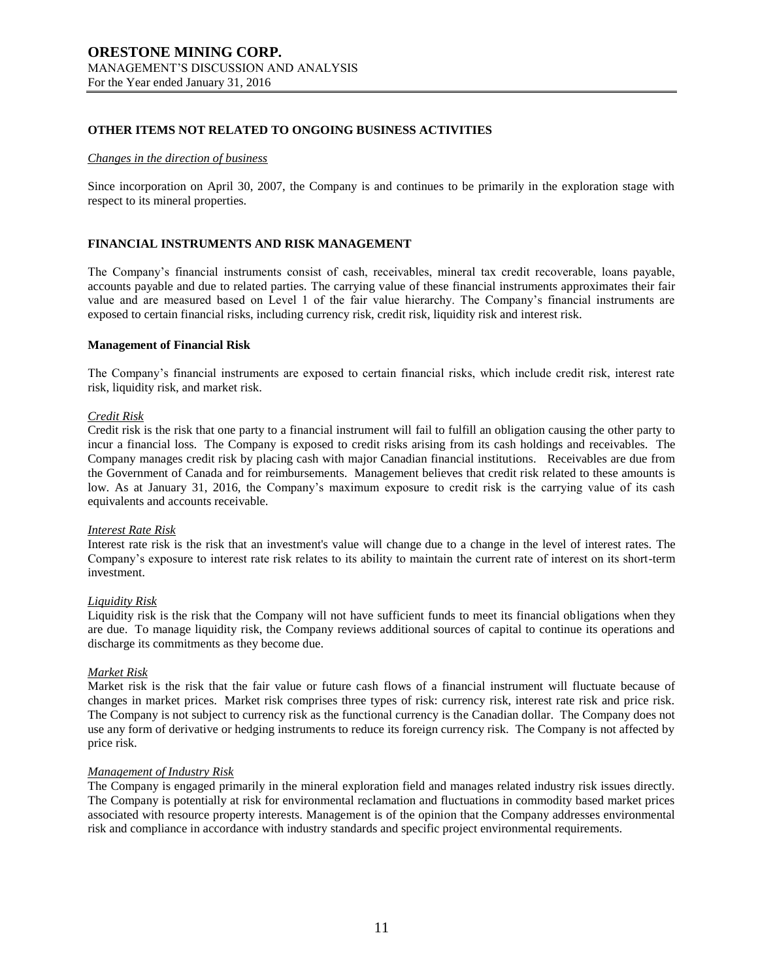### **OTHER ITEMS NOT RELATED TO ONGOING BUSINESS ACTIVITIES**

#### *Changes in the direction of business*

Since incorporation on April 30, 2007, the Company is and continues to be primarily in the exploration stage with respect to its mineral properties.

### **FINANCIAL INSTRUMENTS AND RISK MANAGEMENT**

The Company's financial instruments consist of cash, receivables, mineral tax credit recoverable, loans payable, accounts payable and due to related parties. The carrying value of these financial instruments approximates their fair value and are measured based on Level 1 of the fair value hierarchy. The Company's financial instruments are exposed to certain financial risks, including currency risk, credit risk, liquidity risk and interest risk.

#### **Management of Financial Risk**

The Company's financial instruments are exposed to certain financial risks, which include credit risk, interest rate risk, liquidity risk, and market risk.

#### *Credit Risk*

Credit risk is the risk that one party to a financial instrument will fail to fulfill an obligation causing the other party to incur a financial loss. The Company is exposed to credit risks arising from its cash holdings and receivables. The Company manages credit risk by placing cash with major Canadian financial institutions. Receivables are due from the Government of Canada and for reimbursements. Management believes that credit risk related to these amounts is low. As at January 31, 2016, the Company's maximum exposure to credit risk is the carrying value of its cash equivalents and accounts receivable.

#### *Interest Rate Risk*

Interest rate risk is the risk that an investment's value will change due to a change in the level of interest rates. The Company's exposure to interest rate risk relates to its ability to maintain the current rate of interest on its short-term investment.

#### *Liquidity Risk*

Liquidity risk is the risk that the Company will not have sufficient funds to meet its financial obligations when they are due. To manage liquidity risk, the Company reviews additional sources of capital to continue its operations and discharge its commitments as they become due.

#### *Market Risk*

Market risk is the risk that the fair value or future cash flows of a financial instrument will fluctuate because of changes in market prices. Market risk comprises three types of risk: currency risk, interest rate risk and price risk. The Company is not subject to currency risk as the functional currency is the Canadian dollar. The Company does not use any form of derivative or hedging instruments to reduce its foreign currency risk. The Company is not affected by price risk.

#### *Management of Industry Risk*

The Company is engaged primarily in the mineral exploration field and manages related industry risk issues directly. The Company is potentially at risk for environmental reclamation and fluctuations in commodity based market prices associated with resource property interests. Management is of the opinion that the Company addresses environmental risk and compliance in accordance with industry standards and specific project environmental requirements.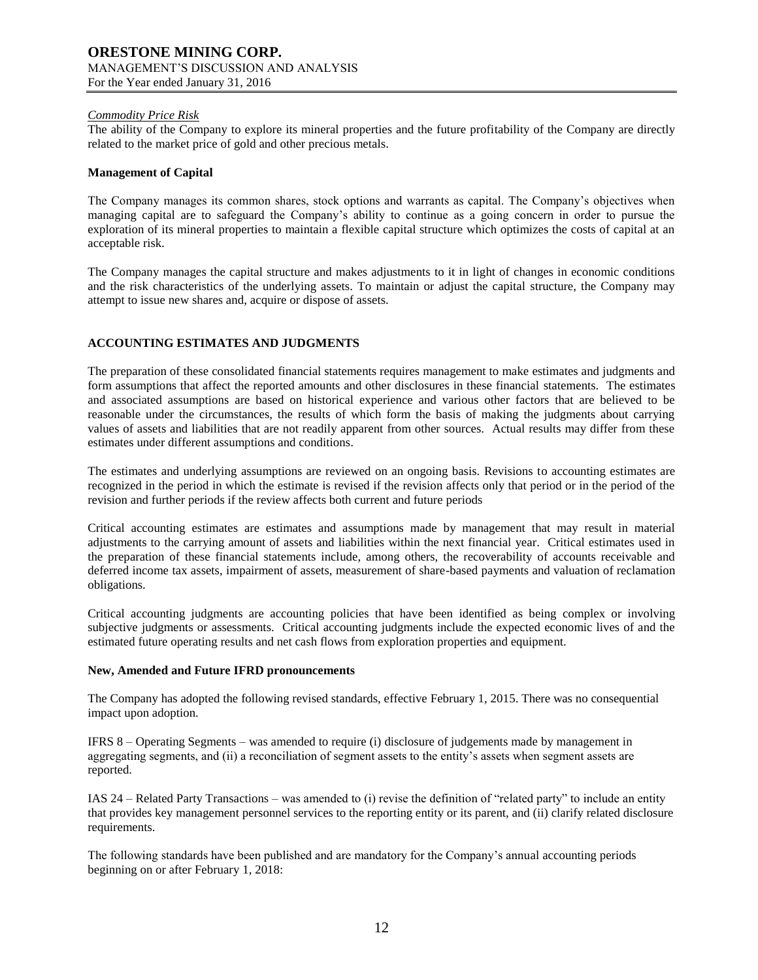### *Commodity Price Risk*

The ability of the Company to explore its mineral properties and the future profitability of the Company are directly related to the market price of gold and other precious metals.

### **Management of Capital**

The Company manages its common shares, stock options and warrants as capital. The Company's objectives when managing capital are to safeguard the Company's ability to continue as a going concern in order to pursue the exploration of its mineral properties to maintain a flexible capital structure which optimizes the costs of capital at an acceptable risk.

The Company manages the capital structure and makes adjustments to it in light of changes in economic conditions and the risk characteristics of the underlying assets. To maintain or adjust the capital structure, the Company may attempt to issue new shares and, acquire or dispose of assets.

### **ACCOUNTING ESTIMATES AND JUDGMENTS**

The preparation of these consolidated financial statements requires management to make estimates and judgments and form assumptions that affect the reported amounts and other disclosures in these financial statements. The estimates and associated assumptions are based on historical experience and various other factors that are believed to be reasonable under the circumstances, the results of which form the basis of making the judgments about carrying values of assets and liabilities that are not readily apparent from other sources. Actual results may differ from these estimates under different assumptions and conditions.

The estimates and underlying assumptions are reviewed on an ongoing basis. Revisions to accounting estimates are recognized in the period in which the estimate is revised if the revision affects only that period or in the period of the revision and further periods if the review affects both current and future periods

Critical accounting estimates are estimates and assumptions made by management that may result in material adjustments to the carrying amount of assets and liabilities within the next financial year. Critical estimates used in the preparation of these financial statements include, among others, the recoverability of accounts receivable and deferred income tax assets, impairment of assets, measurement of share-based payments and valuation of reclamation obligations.

Critical accounting judgments are accounting policies that have been identified as being complex or involving subjective judgments or assessments. Critical accounting judgments include the expected economic lives of and the estimated future operating results and net cash flows from exploration properties and equipment.

### **New, Amended and Future IFRD pronouncements**

The Company has adopted the following revised standards, effective February 1, 2015. There was no consequential impact upon adoption.

IFRS 8 – Operating Segments – was amended to require (i) disclosure of judgements made by management in aggregating segments, and (ii) a reconciliation of segment assets to the entity's assets when segment assets are reported.

IAS 24 – Related Party Transactions – was amended to (i) revise the definition of "related party" to include an entity that provides key management personnel services to the reporting entity or its parent, and (ii) clarify related disclosure requirements.

The following standards have been published and are mandatory for the Company's annual accounting periods beginning on or after February 1, 2018: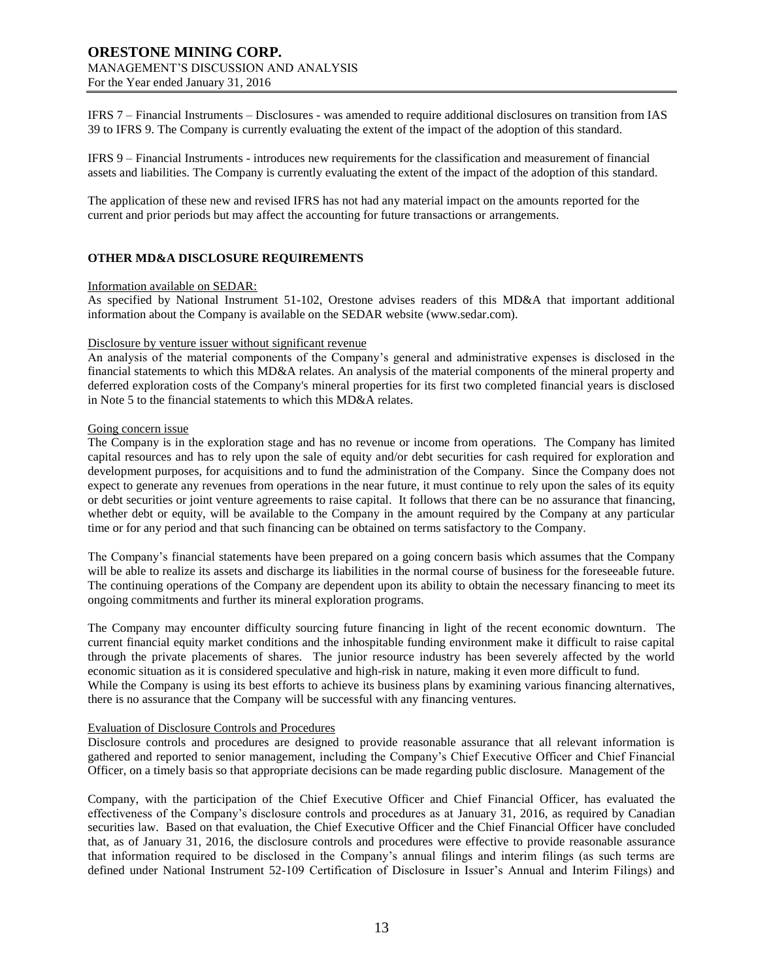IFRS 7 – Financial Instruments – Disclosures - was amended to require additional disclosures on transition from IAS 39 to IFRS 9. The Company is currently evaluating the extent of the impact of the adoption of this standard.

IFRS 9 – Financial Instruments - introduces new requirements for the classification and measurement of financial assets and liabilities. The Company is currently evaluating the extent of the impact of the adoption of this standard.

The application of these new and revised IFRS has not had any material impact on the amounts reported for the current and prior periods but may affect the accounting for future transactions or arrangements.

### **OTHER MD&A DISCLOSURE REQUIREMENTS**

#### Information available on SEDAR:

As specified by National Instrument 51-102, Orestone advises readers of this MD&A that important additional information about the Company is available on the SEDAR website (www.sedar.com).

#### Disclosure by venture issuer without significant revenue

An analysis of the material components of the Company's general and administrative expenses is disclosed in the financial statements to which this MD&A relates. An analysis of the material components of the mineral property and deferred exploration costs of the Company's mineral properties for its first two completed financial years is disclosed in Note 5 to the financial statements to which this MD&A relates.

### Going concern issue

The Company is in the exploration stage and has no revenue or income from operations. The Company has limited capital resources and has to rely upon the sale of equity and/or debt securities for cash required for exploration and development purposes, for acquisitions and to fund the administration of the Company. Since the Company does not expect to generate any revenues from operations in the near future, it must continue to rely upon the sales of its equity or debt securities or joint venture agreements to raise capital. It follows that there can be no assurance that financing, whether debt or equity, will be available to the Company in the amount required by the Company at any particular time or for any period and that such financing can be obtained on terms satisfactory to the Company.

The Company's financial statements have been prepared on a going concern basis which assumes that the Company will be able to realize its assets and discharge its liabilities in the normal course of business for the foreseeable future. The continuing operations of the Company are dependent upon its ability to obtain the necessary financing to meet its ongoing commitments and further its mineral exploration programs.

The Company may encounter difficulty sourcing future financing in light of the recent economic downturn. The current financial equity market conditions and the inhospitable funding environment make it difficult to raise capital through the private placements of shares. The junior resource industry has been severely affected by the world economic situation as it is considered speculative and high-risk in nature, making it even more difficult to fund. While the Company is using its best efforts to achieve its business plans by examining various financing alternatives, there is no assurance that the Company will be successful with any financing ventures.

#### Evaluation of Disclosure Controls and Procedures

Disclosure controls and procedures are designed to provide reasonable assurance that all relevant information is gathered and reported to senior management, including the Company's Chief Executive Officer and Chief Financial Officer, on a timely basis so that appropriate decisions can be made regarding public disclosure. Management of the

Company, with the participation of the Chief Executive Officer and Chief Financial Officer, has evaluated the effectiveness of the Company's disclosure controls and procedures as at January 31, 2016, as required by Canadian securities law. Based on that evaluation, the Chief Executive Officer and the Chief Financial Officer have concluded that, as of January 31, 2016, the disclosure controls and procedures were effective to provide reasonable assurance that information required to be disclosed in the Company's annual filings and interim filings (as such terms are defined under National Instrument 52-109 Certification of Disclosure in Issuer's Annual and Interim Filings) and